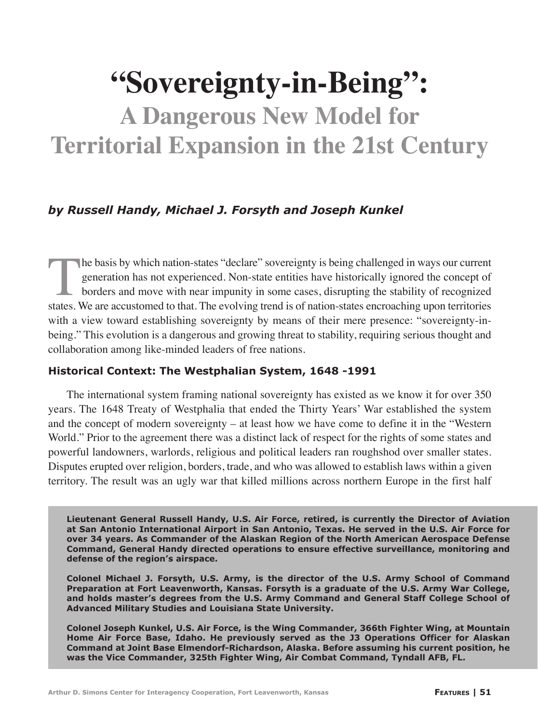# **"Sovereignty-in-Being":**

## **A Dangerous New Model for Territorial Expansion in the 21st Century**

#### *by Russell Handy, Michael J. Forsyth and Joseph Kunkel*

The basis by which nation-states "declare" sovereignty is being challenged in ways our current generation has not experienced. Non-state entities have historically ignored the concept of borders and move with near impunity in some cases, disrupting the stability of recognized states. We are accustomed to that. The evolving trend is of nation-states encroaching upon territories with a view toward establishing sovereignty by means of their mere presence: "sovereignty-inbeing." This evolution is a dangerous and growing threat to stability, requiring serious thought and collaboration among like-minded leaders of free nations.

#### **Historical Context: The Westphalian System, 1648 -1991**

The international system framing national sovereignty has existed as we know it for over 350 years. The 1648 Treaty of Westphalia that ended the Thirty Years' War established the system and the concept of modern sovereignty – at least how we have come to define it in the "Western World." Prior to the agreement there was a distinct lack of respect for the rights of some states and powerful landowners, warlords, religious and political leaders ran roughshod over smaller states. Disputes erupted over religion, borders, trade, and who was allowed to establish laws within a given territory. The result was an ugly war that killed millions across northern Europe in the first half

**Lieutenant General Russell Handy, U.S. Air Force, retired, is currently the Director of Aviation at San Antonio International Airport in San Antonio, Texas. He served in the U.S. Air Force for over 34 years. As Commander of the Alaskan Region of the North American Aerospace Defense Command, General Handy directed operations to ensure effective surveillance, monitoring and defense of the region's airspace.**

**Colonel Michael J. Forsyth, U.S. Army, is the director of the U.S. Army School of Command Preparation at Fort Leavenworth, Kansas. Forsyth is a graduate of the U.S. Army War College, and holds master's degrees from the U.S. Army Command and General Staff College School of Advanced Military Studies and Louisiana State University.**

**Colonel Joseph Kunkel, U.S. Air Force, is the Wing Commander, 366th Fighter Wing, at Mountain Home Air Force Base, Idaho. He previously served as the J3 Operations Officer for Alaskan Command at Joint Base Elmendorf-Richardson, Alaska. Before assuming his current position, he was the Vice Commander, 325th Fighter Wing, Air Combat Command, Tyndall AFB, FL.**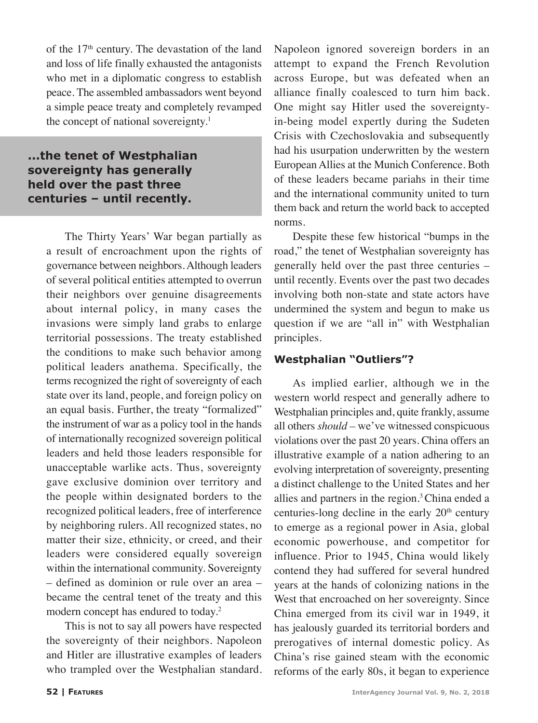of the 17<sup>th</sup> century. The devastation of the land and loss of life finally exhausted the antagonists who met in a diplomatic congress to establish peace. The assembled ambassadors went beyond a simple peace treaty and completely revamped the concept of national sovereignty.<sup>1</sup>

#### **...the tenet of Westphalian sovereignty has generally held over the past three centuries – until recently.**

The Thirty Years' War began partially as a result of encroachment upon the rights of governance between neighbors. Although leaders of several political entities attempted to overrun their neighbors over genuine disagreements about internal policy, in many cases the invasions were simply land grabs to enlarge territorial possessions. The treaty established the conditions to make such behavior among political leaders anathema. Specifically, the terms recognized the right of sovereignty of each state over its land, people, and foreign policy on an equal basis. Further, the treaty "formalized" the instrument of war as a policy tool in the hands of internationally recognized sovereign political leaders and held those leaders responsible for unacceptable warlike acts. Thus, sovereignty gave exclusive dominion over territory and the people within designated borders to the recognized political leaders, free of interference by neighboring rulers. All recognized states, no matter their size, ethnicity, or creed, and their leaders were considered equally sovereign within the international community. Sovereignty – defined as dominion or rule over an area – became the central tenet of the treaty and this modern concept has endured to today.<sup>2</sup>

This is not to say all powers have respected the sovereignty of their neighbors. Napoleon and Hitler are illustrative examples of leaders who trampled over the Westphalian standard. Napoleon ignored sovereign borders in an attempt to expand the French Revolution across Europe, but was defeated when an alliance finally coalesced to turn him back. One might say Hitler used the sovereigntyin-being model expertly during the Sudeten Crisis with Czechoslovakia and subsequently had his usurpation underwritten by the western European Allies at the Munich Conference. Both of these leaders became pariahs in their time and the international community united to turn them back and return the world back to accepted norms.

Despite these few historical "bumps in the road," the tenet of Westphalian sovereignty has generally held over the past three centuries – until recently. Events over the past two decades involving both non-state and state actors have undermined the system and begun to make us question if we are "all in" with Westphalian principles.

#### **Westphalian "Outliers"?**

As implied earlier, although we in the western world respect and generally adhere to Westphalian principles and, quite frankly, assume all others *should –* we've witnessed conspicuous violations over the past 20 years. China offers an illustrative example of a nation adhering to an evolving interpretation of sovereignty, presenting a distinct challenge to the United States and her allies and partners in the region.<sup>3</sup> China ended a centuries-long decline in the early  $20<sup>th</sup>$  century to emerge as a regional power in Asia, global economic powerhouse, and competitor for influence. Prior to 1945, China would likely contend they had suffered for several hundred years at the hands of colonizing nations in the West that encroached on her sovereignty. Since China emerged from its civil war in 1949, it has jealously guarded its territorial borders and prerogatives of internal domestic policy. As China's rise gained steam with the economic reforms of the early 80s, it began to experience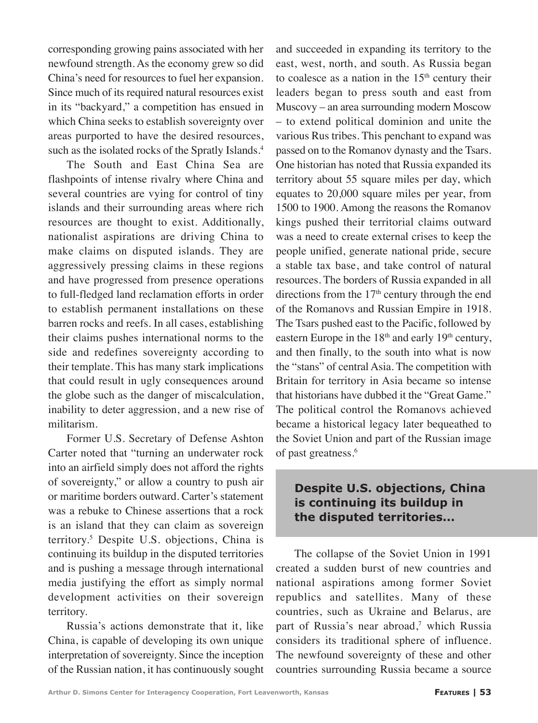corresponding growing pains associated with her newfound strength. As the economy grew so did China's need for resources to fuel her expansion. Since much of its required natural resources exist in its "backyard," a competition has ensued in which China seeks to establish sovereignty over areas purported to have the desired resources, such as the isolated rocks of the Spratly Islands.<sup>4</sup>

The South and East China Sea are flashpoints of intense rivalry where China and several countries are vying for control of tiny islands and their surrounding areas where rich resources are thought to exist. Additionally, nationalist aspirations are driving China to make claims on disputed islands. They are aggressively pressing claims in these regions and have progressed from presence operations to full-fledged land reclamation efforts in order to establish permanent installations on these barren rocks and reefs. In all cases, establishing their claims pushes international norms to the side and redefines sovereignty according to their template. This has many stark implications that could result in ugly consequences around the globe such as the danger of miscalculation, inability to deter aggression, and a new rise of militarism.

Former U.S. Secretary of Defense Ashton Carter noted that "turning an underwater rock into an airfield simply does not afford the rights of sovereignty," or allow a country to push air or maritime borders outward. Carter's statement was a rebuke to Chinese assertions that a rock is an island that they can claim as sovereign territory.5 Despite U.S. objections, China is continuing its buildup in the disputed territories and is pushing a message through international media justifying the effort as simply normal development activities on their sovereign territory.

Russia's actions demonstrate that it, like China, is capable of developing its own unique interpretation of sovereignty. Since the inception of the Russian nation, it has continuously sought and succeeded in expanding its territory to the east, west, north, and south. As Russia began to coalesce as a nation in the  $15<sup>th</sup>$  century their leaders began to press south and east from Muscovy – an area surrounding modern Moscow – to extend political dominion and unite the various Rus tribes. This penchant to expand was passed on to the Romanov dynasty and the Tsars. One historian has noted that Russia expanded its territory about 55 square miles per day, which equates to 20,000 square miles per year, from 1500 to 1900. Among the reasons the Romanov kings pushed their territorial claims outward was a need to create external crises to keep the people unified, generate national pride, secure a stable tax base, and take control of natural resources. The borders of Russia expanded in all directions from the 17<sup>th</sup> century through the end of the Romanovs and Russian Empire in 1918. The Tsars pushed east to the Pacific, followed by eastern Europe in the  $18<sup>th</sup>$  and early 19<sup>th</sup> century, and then finally, to the south into what is now the "stans" of central Asia. The competition with Britain for territory in Asia became so intense that historians have dubbed it the "Great Game." The political control the Romanovs achieved became a historical legacy later bequeathed to the Soviet Union and part of the Russian image of past greatness.6

#### **Despite U.S. objections, China is continuing its buildup in the disputed territories...**

The collapse of the Soviet Union in 1991 created a sudden burst of new countries and national aspirations among former Soviet republics and satellites. Many of these countries, such as Ukraine and Belarus, are part of Russia's near abroad,<sup>7</sup> which Russia considers its traditional sphere of influence. The newfound sovereignty of these and other countries surrounding Russia became a source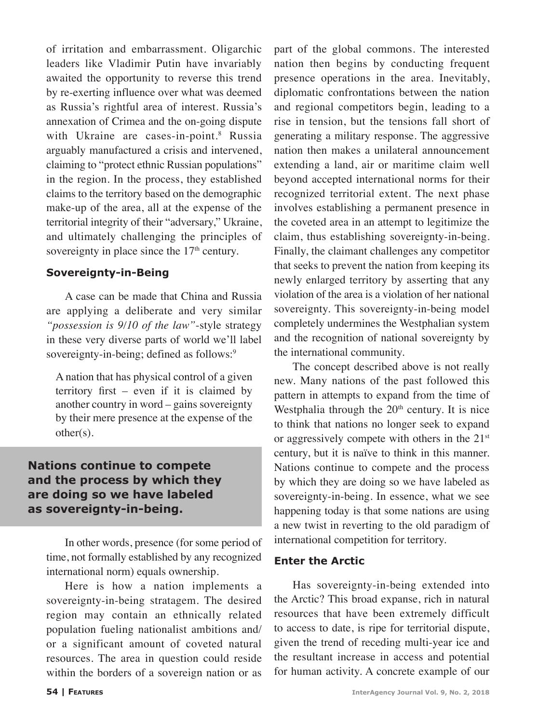of irritation and embarrassment. Oligarchic leaders like Vladimir Putin have invariably awaited the opportunity to reverse this trend by re-exerting influence over what was deemed as Russia's rightful area of interest. Russia's annexation of Crimea and the on-going dispute with Ukraine are cases-in-point.<sup>8</sup> Russia arguably manufactured a crisis and intervened, claiming to "protect ethnic Russian populations" in the region. In the process, they established claims to the territory based on the demographic make-up of the area, all at the expense of the territorial integrity of their "adversary," Ukraine, and ultimately challenging the principles of sovereignty in place since the  $17<sup>th</sup>$  century.

#### **Sovereignty-in-Being**

A case can be made that China and Russia are applying a deliberate and very similar *"possession is 9/10 of the law"*-style strategy in these very diverse parts of world we'll label sovereignty-in-being; defined as follows:<sup>9</sup>

A nation that has physical control of a given territory first – even if it is claimed by another country in word – gains sovereignty by their mere presence at the expense of the other(s).

#### **Nations continue to compete and the process by which they are doing so we have labeled as sovereignty-in-being.**

In other words, presence (for some period of time, not formally established by any recognized international norm) equals ownership.

Here is how a nation implements a sovereignty-in-being stratagem. The desired region may contain an ethnically related population fueling nationalist ambitions and/ or a significant amount of coveted natural resources. The area in question could reside within the borders of a sovereign nation or as

part of the global commons. The interested nation then begins by conducting frequent presence operations in the area. Inevitably, diplomatic confrontations between the nation and regional competitors begin, leading to a rise in tension, but the tensions fall short of generating a military response. The aggressive nation then makes a unilateral announcement extending a land, air or maritime claim well beyond accepted international norms for their recognized territorial extent. The next phase involves establishing a permanent presence in the coveted area in an attempt to legitimize the claim, thus establishing sovereignty-in-being. Finally, the claimant challenges any competitor that seeks to prevent the nation from keeping its newly enlarged territory by asserting that any violation of the area is a violation of her national sovereignty. This sovereignty-in-being model completely undermines the Westphalian system and the recognition of national sovereignty by the international community.

The concept described above is not really new. Many nations of the past followed this pattern in attempts to expand from the time of Westphalia through the  $20<sup>th</sup>$  century. It is nice to think that nations no longer seek to expand or aggressively compete with others in the  $21<sup>st</sup>$ century, but it is naïve to think in this manner. Nations continue to compete and the process by which they are doing so we have labeled as sovereignty-in-being. In essence, what we see happening today is that some nations are using a new twist in reverting to the old paradigm of international competition for territory.

#### **Enter the Arctic**

Has sovereignty-in-being extended into the Arctic? This broad expanse, rich in natural resources that have been extremely difficult to access to date, is ripe for territorial dispute, given the trend of receding multi-year ice and the resultant increase in access and potential for human activity. A concrete example of our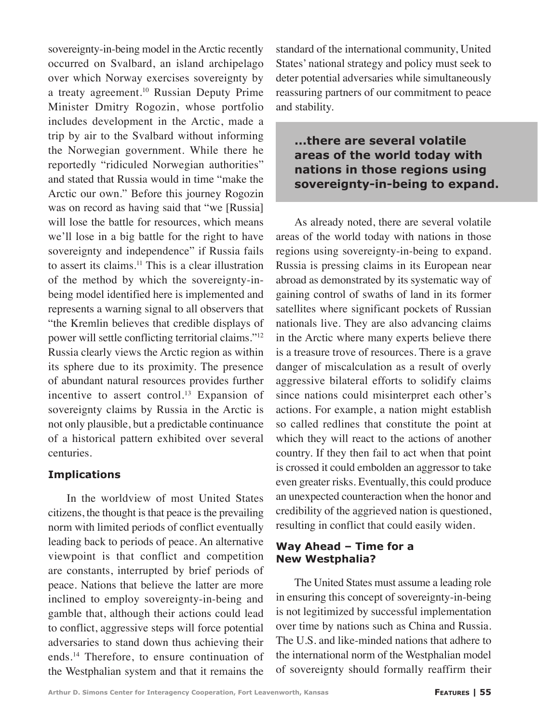sovereignty-in-being model in the Arctic recently occurred on Svalbard, an island archipelago over which Norway exercises sovereignty by a treaty agreement.<sup>10</sup> Russian Deputy Prime Minister Dmitry Rogozin, whose portfolio includes development in the Arctic, made a trip by air to the Svalbard without informing the Norwegian government. While there he reportedly "ridiculed Norwegian authorities" and stated that Russia would in time "make the Arctic our own." Before this journey Rogozin was on record as having said that "we [Russia] will lose the battle for resources, which means we'll lose in a big battle for the right to have sovereignty and independence" if Russia fails to assert its claims.<sup>11</sup> This is a clear illustration of the method by which the sovereignty-inbeing model identified here is implemented and represents a warning signal to all observers that "the Kremlin believes that credible displays of power will settle conflicting territorial claims."12 Russia clearly views the Arctic region as within its sphere due to its proximity. The presence of abundant natural resources provides further incentive to assert control.<sup>13</sup> Expansion of sovereignty claims by Russia in the Arctic is not only plausible, but a predictable continuance of a historical pattern exhibited over several centuries.

#### **Implications**

In the worldview of most United States citizens, the thought is that peace is the prevailing norm with limited periods of conflict eventually leading back to periods of peace. An alternative viewpoint is that conflict and competition are constants, interrupted by brief periods of peace. Nations that believe the latter are more inclined to employ sovereignty-in-being and gamble that, although their actions could lead to conflict, aggressive steps will force potential adversaries to stand down thus achieving their ends.14 Therefore, to ensure continuation of the Westphalian system and that it remains the

standard of the international community, United States' national strategy and policy must seek to deter potential adversaries while simultaneously reassuring partners of our commitment to peace and stability.

#### **...there are several volatile areas of the world today with nations in those regions using sovereignty-in-being to expand.**

As already noted, there are several volatile areas of the world today with nations in those regions using sovereignty-in-being to expand. Russia is pressing claims in its European near abroad as demonstrated by its systematic way of gaining control of swaths of land in its former satellites where significant pockets of Russian nationals live. They are also advancing claims in the Arctic where many experts believe there is a treasure trove of resources. There is a grave danger of miscalculation as a result of overly aggressive bilateral efforts to solidify claims since nations could misinterpret each other's actions. For example, a nation might establish so called redlines that constitute the point at which they will react to the actions of another country. If they then fail to act when that point is crossed it could embolden an aggressor to take even greater risks. Eventually, this could produce an unexpected counteraction when the honor and credibility of the aggrieved nation is questioned, resulting in conflict that could easily widen.

#### **Way Ahead – Time for a New Westphalia?**

The United States must assume a leading role in ensuring this concept of sovereignty-in-being is not legitimized by successful implementation over time by nations such as China and Russia. The U.S. and like-minded nations that adhere to the international norm of the Westphalian model of sovereignty should formally reaffirm their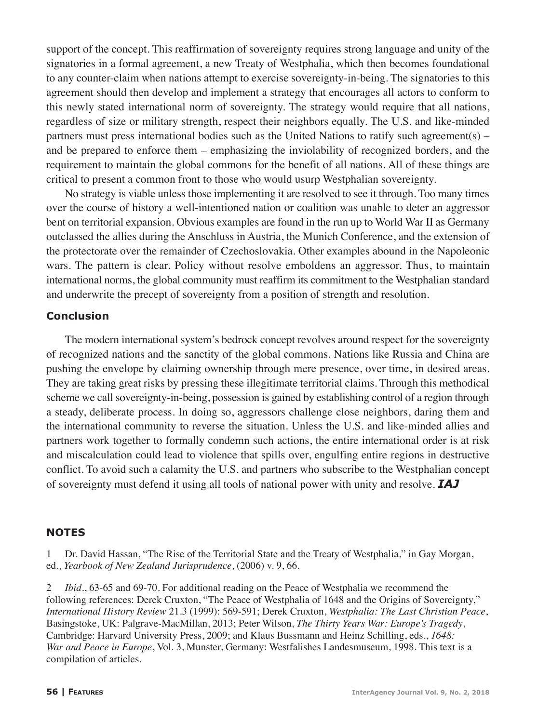support of the concept. This reaffirmation of sovereignty requires strong language and unity of the signatories in a formal agreement, a new Treaty of Westphalia, which then becomes foundational to any counter-claim when nations attempt to exercise sovereignty-in-being. The signatories to this agreement should then develop and implement a strategy that encourages all actors to conform to this newly stated international norm of sovereignty. The strategy would require that all nations, regardless of size or military strength, respect their neighbors equally. The U.S. and like-minded partners must press international bodies such as the United Nations to ratify such agreement(s) – and be prepared to enforce them – emphasizing the inviolability of recognized borders, and the requirement to maintain the global commons for the benefit of all nations. All of these things are critical to present a common front to those who would usurp Westphalian sovereignty.

No strategy is viable unless those implementing it are resolved to see it through. Too many times over the course of history a well-intentioned nation or coalition was unable to deter an aggressor bent on territorial expansion. Obvious examples are found in the run up to World War II as Germany outclassed the allies during the Anschluss in Austria, the Munich Conference, and the extension of the protectorate over the remainder of Czechoslovakia. Other examples abound in the Napoleonic wars. The pattern is clear. Policy without resolve emboldens an aggressor. Thus, to maintain international norms, the global community must reaffirm its commitment to the Westphalian standard and underwrite the precept of sovereignty from a position of strength and resolution.

#### **Conclusion**

The modern international system's bedrock concept revolves around respect for the sovereignty of recognized nations and the sanctity of the global commons. Nations like Russia and China are pushing the envelope by claiming ownership through mere presence, over time, in desired areas. They are taking great risks by pressing these illegitimate territorial claims. Through this methodical scheme we call sovereignty-in-being, possession is gained by establishing control of a region through a steady, deliberate process. In doing so, aggressors challenge close neighbors, daring them and the international community to reverse the situation. Unless the U.S. and like-minded allies and partners work together to formally condemn such actions, the entire international order is at risk and miscalculation could lead to violence that spills over, engulfing entire regions in destructive conflict. To avoid such a calamity the U.S. and partners who subscribe to the Westphalian concept of sovereignty must defend it using all tools of national power with unity and resolve. *IAJ*

#### **NOTES**

Dr. David Hassan, "The Rise of the Territorial State and the Treaty of Westphalia," in Gay Morgan, ed., *Yearbook of New Zealand Jurisprudence*, (2006) v. 9, 66.

2 *Ibid*., 63-65 and 69-70. For additional reading on the Peace of Westphalia we recommend the following references: Derek Cruxton, "The Peace of Westphalia of 1648 and the Origins of Sovereignty," *International History Review* 21.3 (1999): 569-591; Derek Cruxton, *Westphalia: The Last Christian Peace*, Basingstoke, UK: Palgrave-MacMillan, 2013; Peter Wilson, *The Thirty Years War: Europe's Tragedy*, Cambridge: Harvard University Press, 2009; and Klaus Bussmann and Heinz Schilling, eds., *1648: War and Peace in Europe*, Vol. 3, Munster, Germany: Westfalishes Landesmuseum, 1998. This text is a compilation of articles.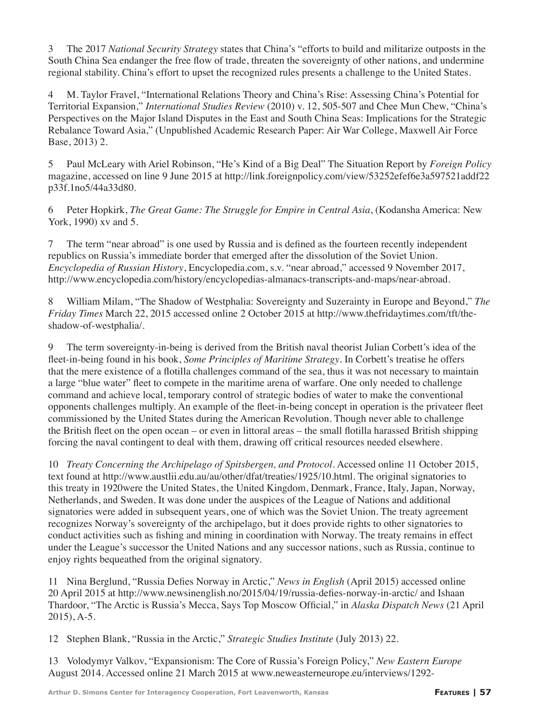3 The 2017 *National Security Strategy* states that China's "efforts to build and militarize outposts in the South China Sea endanger the free flow of trade, threaten the sovereignty of other nations, and undermine regional stability. China's effort to upset the recognized rules presents a challenge to the United States.

4 M. Taylor Fravel, "International Relations Theory and China's Rise: Assessing China's Potential for Territorial Expansion," *International Studies Review* (2010) v. 12, 505-507 and Chee Mun Chew, "China's Perspectives on the Major Island Disputes in the East and South China Seas: Implications for the Strategic Rebalance Toward Asia," (Unpublished Academic Research Paper: Air War College, Maxwell Air Force Base, 2013) 2.

5 Paul McLeary with Ariel Robinson, "He's Kind of a Big Deal" The Situation Report by *Foreign Policy* magazine, accessed on line 9 June 2015 at http://link.foreignpolicy.com/view/53252efef6e3a597521addf22 p33f.1no5/44a33d80.

6 Peter Hopkirk, *The Great Game: The Struggle for Empire in Central Asia*, (Kodansha America: New York, 1990) xv and 5.

7 The term "near abroad" is one used by Russia and is defined as the fourteen recently independent republics on Russia's immediate border that emerged after the dissolution of the Soviet Union. *Encyclopedia of Russian History*, Encyclopedia.com, s.v. "near abroad," accessed 9 November 2017, http://www.encyclopedia.com/history/encyclopedias-almanacs-transcripts-and-maps/near-abroad.

8 William Milam, "The Shadow of Westphalia: Sovereignty and Suzerainty in Europe and Beyond," *The Friday Times* March 22, 2015 accessed online 2 October 2015 at http://www.thefridaytimes.com/tft/theshadow-of-westphalia/.

9 The term sovereignty-in-being is derived from the British naval theorist Julian Corbett's idea of the fleet-in-being found in his book, *Some Principles of Maritime Strategy*. In Corbett's treatise he offers that the mere existence of a flotilla challenges command of the sea, thus it was not necessary to maintain a large "blue water" fleet to compete in the maritime arena of warfare. One only needed to challenge command and achieve local, temporary control of strategic bodies of water to make the conventional opponents challenges multiply. An example of the fleet-in-being concept in operation is the privateer fleet commissioned by the United States during the American Revolution. Though never able to challenge the British fleet on the open ocean – or even in littoral areas – the small flotilla harassed British shipping forcing the naval contingent to deal with them, drawing off critical resources needed elsewhere.

10 *Treaty Concerning the Archipelago of Spitsbergen, and Protocol*. Accessed online 11 October 2015, text found at http://www.austlii.edu.au/au/other/dfat/treaties/1925/10.html. The original signatories to this treaty in 1920were the United States, the United Kingdom, Denmark, France, Italy, Japan, Norway, Netherlands, and Sweden. It was done under the auspices of the League of Nations and additional signatories were added in subsequent years, one of which was the Soviet Union. The treaty agreement recognizes Norway's sovereignty of the archipelago, but it does provide rights to other signatories to conduct activities such as fishing and mining in coordination with Norway. The treaty remains in effect under the League's successor the United Nations and any successor nations, such as Russia, continue to enjoy rights bequeathed from the original signatory.

11 Nina Berglund, "Russia Defies Norway in Arctic," *News in English* (April 2015) accessed online 20 April 2015 at http://www.newsinenglish.no/2015/04/19/russia-defies-norway-in-arctic/ and Ishaan Thardoor, "The Arctic is Russia's Mecca, Says Top Moscow Official," in *Alaska Dispatch News* (21 April 2015), A-5.

12 Stephen Blank, "Russia in the Arctic," *Strategic Studies Institute* (July 2013) 22.

13 Volodymyr Valkov, "Expansionism: The Core of Russia's Foreign Policy," *New Eastern Europe* August 2014. Accessed online 21 March 2015 at www.neweasterneurope.eu/interviews/1292